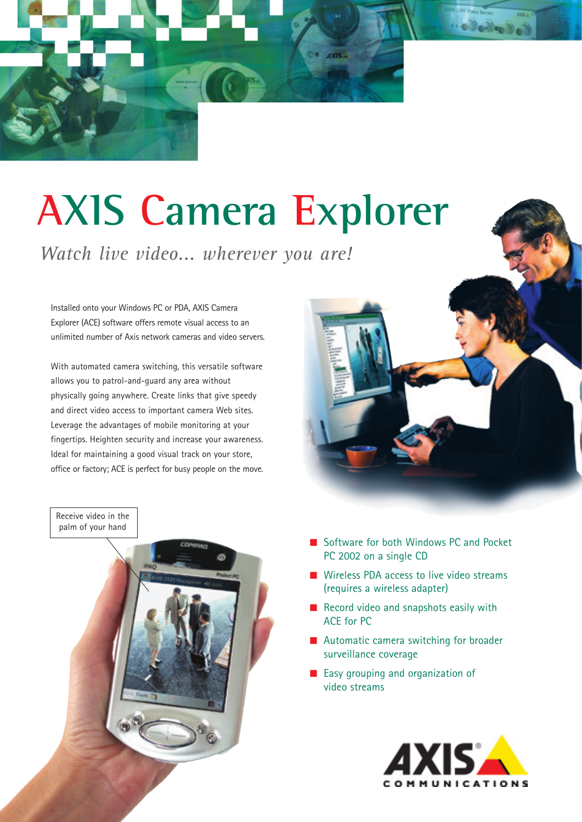# **AXIS Camera Explorer**

*Watch live video... wherever you are!*

Installed onto your Windows PC or PDA, AXIS Camera Explorer (ACE) software offers remote visual access to an unlimited number of Axis network cameras and video servers.

With automated camera switching, this versatile software allows you to patrol-and-guard any area without physically going anywhere. Create links that give speedy and direct video access to important camera Web sites. Leverage the advantages of mobile monitoring at your fingertips. Heighten security and increase your awareness. Ideal for maintaining a good visual track on your store, office or factory; ACE is perfect for busy people on the move.



- Software for both Windows PC and Pocket PC 2002 on a single CD
- **Wireless PDA access to live video streams** (requires a wireless adapter)
- Record video and snapshots easily with ACE for PC
- **Automatic camera switching for broader** surveillance coverage
- **Easy grouping and organization of** video streams